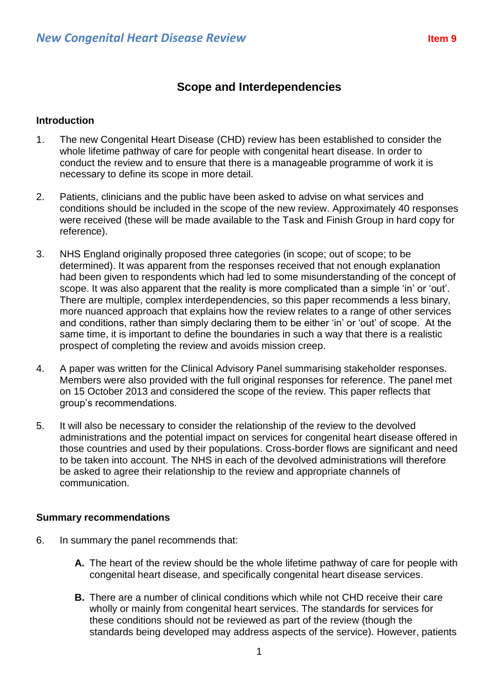# **Scope and Interdependencies**

## **Introduction**

- 1. The new Congenital Heart Disease (CHD) review has been established to consider the whole lifetime pathway of care for people with congenital heart disease. In order to conduct the review and to ensure that there is a manageable programme of work it is necessary to define its scope in more detail.
- 2. Patients, clinicians and the public have been asked to advise on what services and conditions should be included in the scope of the new review. Approximately 40 responses were received (these will be made available to the Task and Finish Group in hard copy for reference).
- 3. NHS England originally proposed three categories (in scope; out of scope; to be determined). It was apparent from the responses received that not enough explanation had been given to respondents which had led to some misunderstanding of the concept of scope. It was also apparent that the reality is more complicated than a simple 'in' or 'out'. There are multiple, complex interdependencies, so this paper recommends a less binary, more nuanced approach that explains how the review relates to a range of other services and conditions, rather than simply declaring them to be either 'in' or 'out' of scope. At the same time, it is important to define the boundaries in such a way that there is a realistic prospect of completing the review and avoids mission creep.
- 4. A paper was written for the Clinical Advisory Panel summarising stakeholder responses. Members were also provided with the full original responses for reference. The panel met on 15 October 2013 and considered the scope of the review. This paper reflects that group's recommendations.
- 5. It will also be necessary to consider the relationship of the review to the devolved administrations and the potential impact on services for congenital heart disease offered in those countries and used by their populations. Cross-border flows are significant and need to be taken into account. The NHS in each of the devolved administrations will therefore be asked to agree their relationship to the review and appropriate channels of communication.

### **Summary recommendations**

- 6. In summary the panel recommends that:
	- **A.** The heart of the review should be the whole lifetime pathway of care for people with congenital heart disease, and specifically congenital heart disease services.
	- **B.** There are a number of clinical conditions which while not CHD receive their care wholly or mainly from congenital heart services. The standards for services for these conditions should not be reviewed as part of the review (though the standards being developed may address aspects of the service). However, patients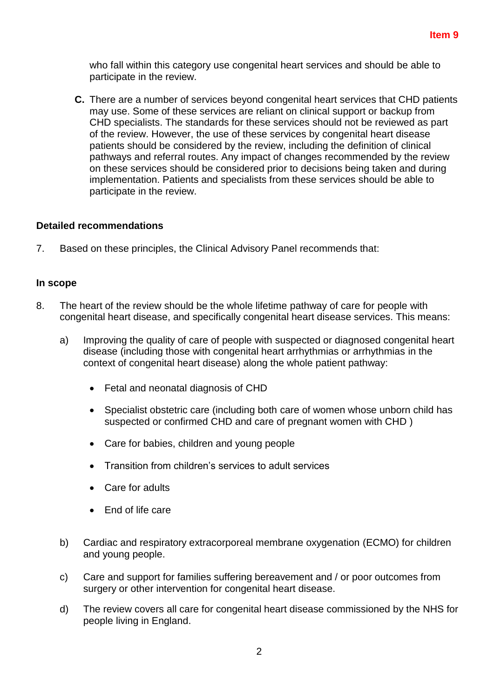who fall within this category use congenital heart services and should be able to participate in the review.

**C.** There are a number of services beyond congenital heart services that CHD patients may use. Some of these services are reliant on clinical support or backup from CHD specialists. The standards for these services should not be reviewed as part of the review. However, the use of these services by congenital heart disease patients should be considered by the review, including the definition of clinical pathways and referral routes. Any impact of changes recommended by the review on these services should be considered prior to decisions being taken and during implementation. Patients and specialists from these services should be able to participate in the review.

### **Detailed recommendations**

7. Based on these principles, the Clinical Advisory Panel recommends that:

#### **In scope**

- 8. The heart of the review should be the whole lifetime pathway of care for people with congenital heart disease, and specifically congenital heart disease services. This means:
	- a) Improving the quality of care of people with suspected or diagnosed congenital heart disease (including those with congenital heart arrhythmias or arrhythmias in the context of congenital heart disease) along the whole patient pathway:
		- Fetal and neonatal diagnosis of CHD
		- Specialist obstetric care (including both care of women whose unborn child has suspected or confirmed CHD and care of pregnant women with CHD )
		- Care for babies, children and young people
		- Transition from children's services to adult services
		- Care for adults
		- $\bullet$  Fnd of life care
	- b) Cardiac and respiratory extracorporeal membrane oxygenation (ECMO) for children and young people.
	- c) Care and support for families suffering bereavement and / or poor outcomes from surgery or other intervention for congenital heart disease.
	- d) The review covers all care for congenital heart disease commissioned by the NHS for people living in England.